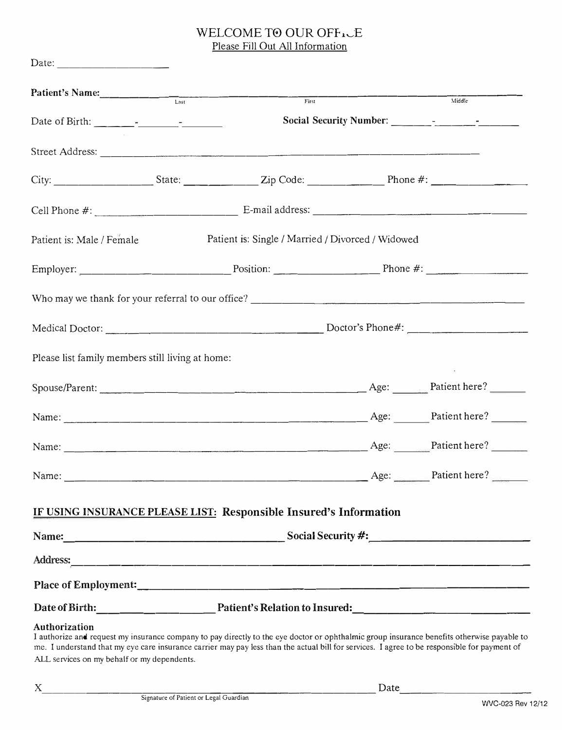## WELCOME TO OUR OFFICE Please Fill Out All Information

| Patient's Name:                                                                                                                                                                                                                                                                                                    |  | First                                             |  | Middle                                 |  |  |  |
|--------------------------------------------------------------------------------------------------------------------------------------------------------------------------------------------------------------------------------------------------------------------------------------------------------------------|--|---------------------------------------------------|--|----------------------------------------|--|--|--|
|                                                                                                                                                                                                                                                                                                                    |  |                                                   |  |                                        |  |  |  |
|                                                                                                                                                                                                                                                                                                                    |  |                                                   |  |                                        |  |  |  |
|                                                                                                                                                                                                                                                                                                                    |  |                                                   |  |                                        |  |  |  |
|                                                                                                                                                                                                                                                                                                                    |  |                                                   |  |                                        |  |  |  |
| Patient is: Male / Female                                                                                                                                                                                                                                                                                          |  | Patient is: Single / Married / Divorced / Widowed |  |                                        |  |  |  |
|                                                                                                                                                                                                                                                                                                                    |  |                                                   |  | Employer: Position: Position: Phone #: |  |  |  |
|                                                                                                                                                                                                                                                                                                                    |  |                                                   |  |                                        |  |  |  |
|                                                                                                                                                                                                                                                                                                                    |  |                                                   |  |                                        |  |  |  |
| Please list family members still living at home:                                                                                                                                                                                                                                                                   |  |                                                   |  |                                        |  |  |  |
|                                                                                                                                                                                                                                                                                                                    |  |                                                   |  |                                        |  |  |  |
|                                                                                                                                                                                                                                                                                                                    |  |                                                   |  | Age: Patient here?                     |  |  |  |
|                                                                                                                                                                                                                                                                                                                    |  |                                                   |  | Age: Patient here?                     |  |  |  |
| Name:                                                                                                                                                                                                                                                                                                              |  | Age: <u>National Patient</u> here?                |  |                                        |  |  |  |
| IF USING INSURANCE PLEASE LIST: Responsible Insured's Information                                                                                                                                                                                                                                                  |  |                                                   |  |                                        |  |  |  |
|                                                                                                                                                                                                                                                                                                                    |  |                                                   |  |                                        |  |  |  |
|                                                                                                                                                                                                                                                                                                                    |  |                                                   |  |                                        |  |  |  |
|                                                                                                                                                                                                                                                                                                                    |  |                                                   |  |                                        |  |  |  |
|                                                                                                                                                                                                                                                                                                                    |  |                                                   |  |                                        |  |  |  |
| <b>Authorization</b><br>I authorize and request my insurance company to pay directly to the eye doctor or ophthalmic group insurance benefits otherwise payable to<br>me. I understand that my eye care insurance carrier may pay less than the actual bill for services. I agree to be responsible for payment of |  |                                                   |  |                                        |  |  |  |

ALL services on my behalf or my dependents.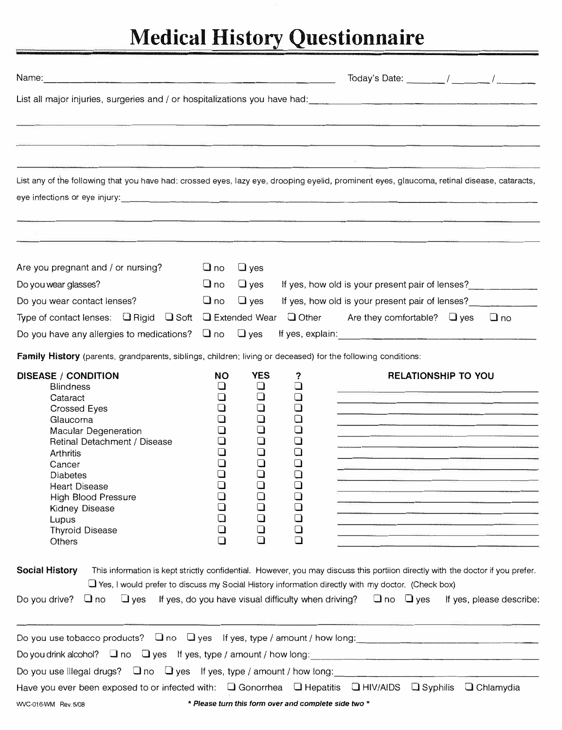## **Medical History Questionnaire**

| Name:                                                                                                                                                                                                                                                                                                                    |                                                                                                                              |                                                                                                                                                        |                                                                                                                                                                                                                                                                                                                                                                                                                                                                                                                                                                                                                                                                                                                                                                                                                                                                                                                                                                                                                                                                                                                    |
|--------------------------------------------------------------------------------------------------------------------------------------------------------------------------------------------------------------------------------------------------------------------------------------------------------------------------|------------------------------------------------------------------------------------------------------------------------------|--------------------------------------------------------------------------------------------------------------------------------------------------------|--------------------------------------------------------------------------------------------------------------------------------------------------------------------------------------------------------------------------------------------------------------------------------------------------------------------------------------------------------------------------------------------------------------------------------------------------------------------------------------------------------------------------------------------------------------------------------------------------------------------------------------------------------------------------------------------------------------------------------------------------------------------------------------------------------------------------------------------------------------------------------------------------------------------------------------------------------------------------------------------------------------------------------------------------------------------------------------------------------------------|
|                                                                                                                                                                                                                                                                                                                          |                                                                                                                              |                                                                                                                                                        | List all major injuries, surgeries and / or hospitalizations you have had:<br>List all major injuries, surgeries and / or hospitalizations you have had:                                                                                                                                                                                                                                                                                                                                                                                                                                                                                                                                                                                                                                                                                                                                                                                                                                                                                                                                                           |
|                                                                                                                                                                                                                                                                                                                          |                                                                                                                              |                                                                                                                                                        |                                                                                                                                                                                                                                                                                                                                                                                                                                                                                                                                                                                                                                                                                                                                                                                                                                                                                                                                                                                                                                                                                                                    |
|                                                                                                                                                                                                                                                                                                                          |                                                                                                                              |                                                                                                                                                        |                                                                                                                                                                                                                                                                                                                                                                                                                                                                                                                                                                                                                                                                                                                                                                                                                                                                                                                                                                                                                                                                                                                    |
|                                                                                                                                                                                                                                                                                                                          |                                                                                                                              |                                                                                                                                                        | List any of the following that you have had: crossed eyes, lazy eye, drooping eyelid, prominent eyes, glaucoma, retinal disease, cataracts,                                                                                                                                                                                                                                                                                                                                                                                                                                                                                                                                                                                                                                                                                                                                                                                                                                                                                                                                                                        |
|                                                                                                                                                                                                                                                                                                                          |                                                                                                                              |                                                                                                                                                        |                                                                                                                                                                                                                                                                                                                                                                                                                                                                                                                                                                                                                                                                                                                                                                                                                                                                                                                                                                                                                                                                                                                    |
| Are you pregnant and / or nursing?                                                                                                                                                                                                                                                                                       | $\Box$ no                                                                                                                    | $\Box$ yes                                                                                                                                             |                                                                                                                                                                                                                                                                                                                                                                                                                                                                                                                                                                                                                                                                                                                                                                                                                                                                                                                                                                                                                                                                                                                    |
| Do you wear glasses?                                                                                                                                                                                                                                                                                                     | $\Box$ no                                                                                                                    | $\Box$ yes                                                                                                                                             | If yes, how old is your present pair of lenses?                                                                                                                                                                                                                                                                                                                                                                                                                                                                                                                                                                                                                                                                                                                                                                                                                                                                                                                                                                                                                                                                    |
| Do you wear contact lenses?                                                                                                                                                                                                                                                                                              | $\Box$ no                                                                                                                    | $\Box$ yes                                                                                                                                             | If yes, how old is your present pair of lenses?                                                                                                                                                                                                                                                                                                                                                                                                                                                                                                                                                                                                                                                                                                                                                                                                                                                                                                                                                                                                                                                                    |
| Type of contact lenses: $\Box$ Rigid $\Box$ Soft $\Box$ Extended Wear                                                                                                                                                                                                                                                    |                                                                                                                              |                                                                                                                                                        | Other<br>Are they comfortable? $\Box$ yes<br>$\Box$ no                                                                                                                                                                                                                                                                                                                                                                                                                                                                                                                                                                                                                                                                                                                                                                                                                                                                                                                                                                                                                                                             |
| Do you have any allergies to medications? $\Box$ no $\Box$ yes                                                                                                                                                                                                                                                           |                                                                                                                              |                                                                                                                                                        |                                                                                                                                                                                                                                                                                                                                                                                                                                                                                                                                                                                                                                                                                                                                                                                                                                                                                                                                                                                                                                                                                                                    |
| Family History (parents, grandparents, siblings, children; living or deceased) for the following conditions:                                                                                                                                                                                                             |                                                                                                                              |                                                                                                                                                        |                                                                                                                                                                                                                                                                                                                                                                                                                                                                                                                                                                                                                                                                                                                                                                                                                                                                                                                                                                                                                                                                                                                    |
| <b>DISEASE / CONDITION</b><br><b>Blindness</b><br>Cataract<br>Crossed Eyes<br>Glaucoma<br>Macular Degeneration<br>Retinal Detachment / Disease<br>Arthritis<br>Cancer<br>Diabetes<br>Heart Disease<br>High Blood Pressure<br><b>Kidney Disease</b><br>Lupus<br><b>Thyroid Disease</b><br>Others<br><b>Social History</b> | <b>NO</b><br>ப<br>$\Box$<br>❏<br>ப<br>0<br>$\Box$<br>$\Box$<br>$\Box$<br>$\Box$<br>$\Box$<br>❏<br>$\Box$<br>$\Box$<br>$\Box$ | <b>YES</b><br>❏<br>$\Box$<br>$\Box$<br>$\Box$<br>$\Box$<br>$\Box$<br>$\Box$<br>$\Box$<br>∩<br>$\Box$<br>$\Box$<br>$\Box$<br>$\Box$<br>$\Box$<br>$\Box$ | <b>RELATIONSHIP TO YOU</b><br>?<br><u> The Communication of the Communication of the Communication of the Communication of the Communication of the Communication of the Communication of the Communication of the Communication of the Communication of the Commun</u><br><u> 1980 - Jan Stein, Stein am Francisco a Brasil (b. 1980)</u><br>■ CANADIAN PER → THE CONTROL DESCRIPTION → THE CONTROL DESCRIPTION → THE CONTROL DESCRIPTION → THE CONTROL DES<br>The WAR and the company of the company of the company of the company of the company of the company of the company of<br>$\Box$<br>❏<br><u> 1990 - Jacob John Harry Harry Harry Harry Harry Harry Harry Harry Harry Harry Harry Harry Harry Harry Harry Harry Harry Harry Harry Harry Harry Harry Harry Harry Harry Harry Harry Harry Harry Harry Harry Harry Harry Harr</u><br>$\Box$<br><b>Construction of the construction of the construction of the construction of the construction of the construction</b><br>This information is kept strictly confidential. However, you may discuss this portiion directly with the doctor if you prefer. |
| Do you drive? $\Box$ no                                                                                                                                                                                                                                                                                                  |                                                                                                                              |                                                                                                                                                        | $\Box$ Yes, I would prefer to discuss my Social History information directly with my doctor. (Check box)<br>$\Box$ yes If yes, do you have visual difficulty when driving? $\Box$ no $\Box$ yes If yes, please describe:                                                                                                                                                                                                                                                                                                                                                                                                                                                                                                                                                                                                                                                                                                                                                                                                                                                                                           |
|                                                                                                                                                                                                                                                                                                                          |                                                                                                                              |                                                                                                                                                        | Do you use tobacco products? $\Box$ no $\Box$ yes If yes, type / amount / how long:                                                                                                                                                                                                                                                                                                                                                                                                                                                                                                                                                                                                                                                                                                                                                                                                                                                                                                                                                                                                                                |
|                                                                                                                                                                                                                                                                                                                          |                                                                                                                              |                                                                                                                                                        |                                                                                                                                                                                                                                                                                                                                                                                                                                                                                                                                                                                                                                                                                                                                                                                                                                                                                                                                                                                                                                                                                                                    |
|                                                                                                                                                                                                                                                                                                                          |                                                                                                                              |                                                                                                                                                        | Have you ever been exposed to or infected with: Q Gonorrhea Q Hepatitis Q HIV/AIDS Q Syphilis Q Chlamydia                                                                                                                                                                                                                                                                                                                                                                                                                                                                                                                                                                                                                                                                                                                                                                                                                                                                                                                                                                                                          |
| WC-016-WM Rev. 5/08 $\bullet$ <b>Please turn this form over and complete side two</b> $*$                                                                                                                                                                                                                                |                                                                                                                              |                                                                                                                                                        |                                                                                                                                                                                                                                                                                                                                                                                                                                                                                                                                                                                                                                                                                                                                                                                                                                                                                                                                                                                                                                                                                                                    |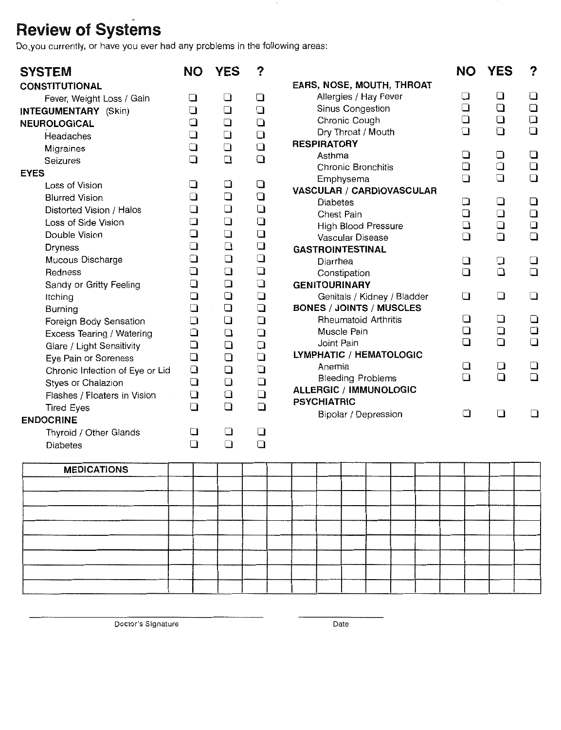## **Review of Systems**

Do you currently, or have you ever had any problems in the following areas:

| <b>SYSTEM</b>                   | ΝO                                                | <b>YES</b>                                                                   | ?      |                                 | <b>NO</b>                                         | <b>YES</b>                                                         | ?                                                                     |
|---------------------------------|---------------------------------------------------|------------------------------------------------------------------------------|--------|---------------------------------|---------------------------------------------------|--------------------------------------------------------------------|-----------------------------------------------------------------------|
| <b>CONSTITUTIONAL</b>           |                                                   |                                                                              |        | EARS, NOSE, MOUTH, THROAT       |                                                   |                                                                    |                                                                       |
| Fever, Weight Loss / Gain       | $\Box$                                            | $\Box$                                                                       | $\Box$ | Allergies / Hay Fever           | $\Box$                                            | $\Box$                                                             | $\Box$                                                                |
| <b>INTEGUMENTARY</b> (Skin)     | $\Box$                                            | $\Box$                                                                       | $\Box$ | Sinus Congestion                | $\Box$                                            | $\Box$                                                             | $\Box$                                                                |
| NEUROLOGICAL                    | $\Box$                                            | $\Box$                                                                       | $\Box$ | Chronic Cough                   | $\Box$                                            | $\Box$                                                             | $\Box$                                                                |
| Headaches                       | $\square$                                         | $\Box$                                                                       | $\Box$ | Dry Throat / Mouth              | $\Box$                                            | $\Box$                                                             | $\Box$                                                                |
| Migraines                       | $\Box$                                            | $\Box$                                                                       | $\Box$ | <b>RESPIRATORY</b>              |                                                   |                                                                    |                                                                       |
| Seizures                        | $\square$<br>$\Box$<br>$\Box$<br>$\Box$<br>$\Box$ | $\Box$<br>$\Box$<br>$\Box$<br>$\Box$<br>$\Box$<br>$\Box$<br>$\Box$<br>$\Box$ | $\Box$ | Asthma                          | $\Box$                                            | $\Box$                                                             | $\Box$                                                                |
| <b>EYES</b>                     |                                                   |                                                                              |        | Chronic Bronchitis              | $\Box$<br>$\Box$                                  | $\Box$<br>$\Box$                                                   | $\Box$<br>$\Box$                                                      |
| Loss of Vision                  |                                                   |                                                                              | $\Box$ | Emphysema                       | $\Box$<br>$\Box$<br>$\Box$<br>$\square$<br>$\Box$ | $\Box$<br>$\Box$<br>$\Box$<br>$\Box$<br>$\Box$<br>$\Box$<br>$\Box$ | $\Box$<br>$\Box$<br>$\square$<br>$\Box$<br>$\Box$<br>$\Box$<br>$\Box$ |
| <b>Blurred Vision</b>           |                                                   |                                                                              | $\Box$ | VASCULAR / CARDIOVASCULAR       |                                                   |                                                                    |                                                                       |
| Distorted Vision / Halos        |                                                   |                                                                              | $\Box$ | <b>Diabetes</b><br>Chest Pain   |                                                   |                                                                    |                                                                       |
| Loss of Side Vision             |                                                   |                                                                              | $\Box$ | High Blood Pressure             |                                                   |                                                                    |                                                                       |
| Double Vision                   | $\Box$                                            |                                                                              | $\Box$ | Vascular Disease                |                                                   |                                                                    |                                                                       |
| <b>Dryness</b>                  | $\Box$<br>$\Box$                                  |                                                                              | $\Box$ | <b>GASTROINTESTINAL</b>         |                                                   |                                                                    |                                                                       |
| Mucous Discharge                |                                                   |                                                                              | $\Box$ | Diarrhea                        |                                                   |                                                                    |                                                                       |
| Redness                         | $\Box$                                            | $\Box$                                                                       | $\Box$ | Constipation                    | $\Box$                                            |                                                                    |                                                                       |
| Sandy or Gritty Feeling         | $\Box$<br>$\Box$                                  | $\Box$<br>$\Box$                                                             | $\Box$ | <b>GENITOURINARY</b>            | $\Box$                                            |                                                                    |                                                                       |
| Itching                         |                                                   |                                                                              | $\Box$ | Genitals / Kidney / Bladder     |                                                   |                                                                    |                                                                       |
| <b>Burning</b>                  | $\Box$                                            | $\Box$                                                                       | $\Box$ | <b>BONES / JOINTS / MUSCLES</b> |                                                   |                                                                    |                                                                       |
| Foreign Body Sensation          | $\Box$                                            | $\Box$                                                                       | $\Box$ | <b>Rheumatoid Arthritis</b>     | $\Box$                                            | $\Box$                                                             | $\Box$                                                                |
| Excess Tearing / Watering       | $\Box$                                            | $\Box$                                                                       | $\Box$ | Muscle Pain                     | $\Box$                                            | $\Box$                                                             | $\Box$                                                                |
| Glare / Light Sensitivity       | $\Box$<br>$\Box$<br>$\Box$<br>$\Box$              | $\Box$                                                                       | $\Box$ | Joint Pain                      | $\Box$<br>$\square$<br>$\Box$                     | $\Box$<br>$\Box$<br>$\Box$                                         | $\Box$<br>$\Box$<br>$\Box$                                            |
| Eye Pain or Soreness            |                                                   | $\Box$                                                                       | $\Box$ | LYMPHATIC / HEMATOLOGIC         |                                                   |                                                                    |                                                                       |
| Chronic Infection of Eye or Lid |                                                   | $\Box$<br>$\Box$                                                             | $\Box$ | Anemia                          |                                                   |                                                                    |                                                                       |
| Styes or Chalazion              |                                                   |                                                                              | $\Box$ | <b>Bleeding Problems</b>        |                                                   |                                                                    |                                                                       |
| Flashes / Floaters in Vision    | $\Box$                                            | $\Box$                                                                       | $\Box$ | <b>ALLERGIC / IMMUNOLOGIC</b>   |                                                   |                                                                    |                                                                       |
| <b>Tired Eyes</b>               | $\Box$                                            | $\Box$                                                                       | $\Box$ | <b>PSYCHIATRIC</b>              |                                                   |                                                                    |                                                                       |
| <b>ENDOCRINE</b>                |                                                   |                                                                              |        | Bipolar / Depression            | $\Box$                                            | $\Box$                                                             | $\square$                                                             |
| Thyroid / Other Glands          | $\Box$                                            | $\square$                                                                    | $\Box$ |                                 |                                                   |                                                                    |                                                                       |
| <b>Diabetes</b>                 | $\Box$                                            | $\Box$                                                                       | $\Box$ |                                 |                                                   |                                                                    |                                                                       |
| <b>MEDICATIONS</b>              |                                                   |                                                                              |        |                                 |                                                   |                                                                    |                                                                       |
|                                 |                                                   |                                                                              |        |                                 |                                                   |                                                                    |                                                                       |
|                                 |                                                   |                                                                              |        |                                 |                                                   |                                                                    |                                                                       |
|                                 |                                                   |                                                                              |        |                                 |                                                   |                                                                    |                                                                       |
|                                 |                                                   |                                                                              |        |                                 |                                                   |                                                                    |                                                                       |
|                                 |                                                   |                                                                              |        |                                 |                                                   |                                                                    |                                                                       |

 $\overline{\phantom{a}}$ 

Doctor's Signature

Date